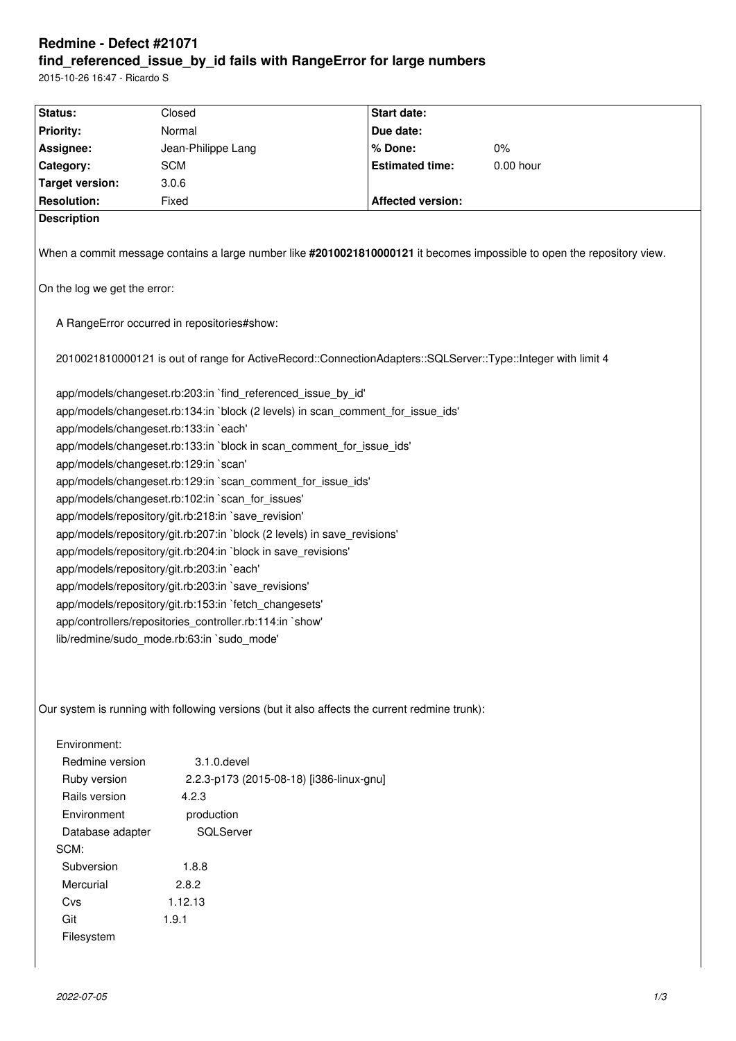# **Redmine - Defect #21071 find\_referenced\_issue\_by\_id fails with RangeError for large numbers**

2015-10-26 16:47 - Ricardo S

| Status:                                                                                                                 | Closed                                   | Start date:              |           |
|-------------------------------------------------------------------------------------------------------------------------|------------------------------------------|--------------------------|-----------|
| <b>Priority:</b>                                                                                                        | Normal                                   | Due date:                |           |
| Assignee:                                                                                                               | Jean-Philippe Lang                       | % Done:                  | $0\%$     |
| Category:                                                                                                               | <b>SCM</b>                               | <b>Estimated time:</b>   | 0.00 hour |
| <b>Target version:</b>                                                                                                  | 3.0.6                                    |                          |           |
| <b>Resolution:</b>                                                                                                      | Fixed                                    | <b>Affected version:</b> |           |
| <b>Description</b>                                                                                                      |                                          |                          |           |
| When a commit message contains a large number like #2010021810000121 it becomes impossible to open the repository view. |                                          |                          |           |
| On the log we get the error:                                                                                            |                                          |                          |           |
| A RangeError occurred in repositories#show:                                                                             |                                          |                          |           |
| 2010021810000121 is out of range for ActiveRecord::ConnectionAdapters::SQLServer::Type::Integer with limit 4            |                                          |                          |           |
| app/models/changeset.rb:203:in `find_referenced_issue_by_id'                                                            |                                          |                          |           |
| app/models/changeset.rb:134:in `block (2 levels) in scan_comment_for_issue_ids'                                         |                                          |                          |           |
| app/models/changeset.rb:133:in `each'                                                                                   |                                          |                          |           |
| app/models/changeset.rb:133:in `block in scan_comment_for_issue_ids'                                                    |                                          |                          |           |
| app/models/changeset.rb:129:in `scan'                                                                                   |                                          |                          |           |
| app/models/changeset.rb:129:in `scan_comment_for_issue_ids'                                                             |                                          |                          |           |
| app/models/changeset.rb:102:in `scan_for_issues'                                                                        |                                          |                          |           |
| app/models/repository/git.rb:218:in `save_revision'                                                                     |                                          |                          |           |
| app/models/repository/git.rb:207:in `block (2 levels) in save_revisions'                                                |                                          |                          |           |
| app/models/repository/git.rb:204:in `block in save_revisions'                                                           |                                          |                          |           |
| app/models/repository/git.rb:203:in `each'                                                                              |                                          |                          |           |
| app/models/repository/git.rb:203:in `save_revisions'                                                                    |                                          |                          |           |
| app/models/repository/git.rb:153:in `fetch changesets'                                                                  |                                          |                          |           |
| app/controllers/repositories_controller.rb:114:in `show'                                                                |                                          |                          |           |
| lib/redmine/sudo_mode.rb:63:in `sudo_mode'                                                                              |                                          |                          |           |
|                                                                                                                         |                                          |                          |           |
| Our system is running with following versions (but it also affects the current redmine trunk):                          |                                          |                          |           |
| Environment:                                                                                                            |                                          |                          |           |
| Redmine version                                                                                                         | 3.1.0. devel                             |                          |           |
| Ruby version                                                                                                            | 2.2.3-p173 (2015-08-18) [i386-linux-gnu] |                          |           |
| Rails version<br>4.2.3                                                                                                  |                                          |                          |           |
| Environment<br>production                                                                                               |                                          |                          |           |
| SQLServer<br>Database adapter                                                                                           |                                          |                          |           |
| SCM:                                                                                                                    |                                          |                          |           |
| Subversion                                                                                                              | 1.8.8                                    |                          |           |
| Mercurial<br>2.8.2                                                                                                      |                                          |                          |           |
| Cvs                                                                                                                     | 1.12.13                                  |                          |           |

Filesystem

Git 1.9.1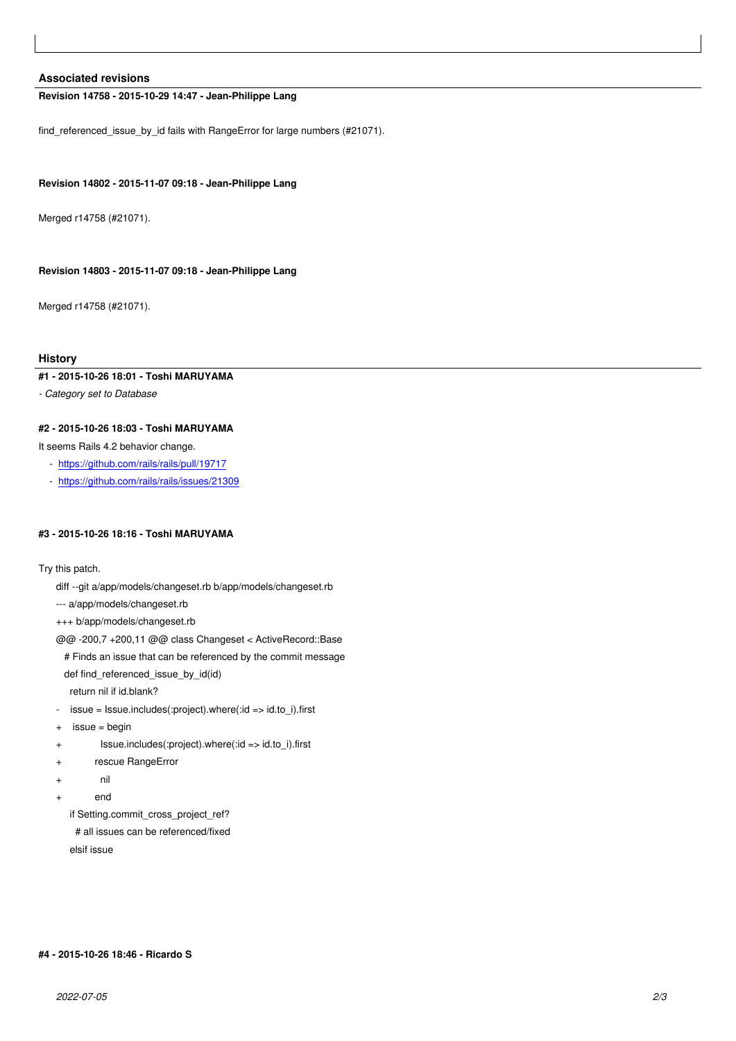#### **Associated revisions**

### **Revision 14758 - 2015-10-29 14:47 - Jean-Philippe Lang**

find\_referenced\_issue\_by\_id fails with RangeError for large numbers (#21071).

### **Revision 14802 - 2015-11-07 09:18 - Jean-Philippe Lang**

Merged r14758 (#21071).

#### **Revision 14803 - 2015-11-07 09:18 - Jean-Philippe Lang**

Merged r14758 (#21071).

#### **History**

## **#1 - 2015-10-26 18:01 - Toshi MARUYAMA**

*- Category set to Database*

## **#2 - 2015-10-26 18:03 - Toshi MARUYAMA**

It seems Rails 4.2 behavior change.

- https://github.com/rails/rails/pull/19717
- https://github.com/rails/rails/issues/21309

## **#3 - [2015-10-26 18:16 - Toshi MARUYAM](https://github.com/rails/rails/pull/19717)[A](https://github.com/rails/rails/issues/21309)**

#### Try this patch.

- diff --git a/app/models/changeset.rb b/app/models/changeset.rb
- --- a/app/models/changeset.rb
- +++ b/app/models/changeset.rb

@@ -200,7 +200,11 @@ class Changeset < ActiveRecord::Base

 # Finds an issue that can be referenced by the commit message def find\_referenced\_issue\_by\_id(id)

return nil if id.blank?

- issue = Issue.includes(:project).where(:id => id.to\_i).first
- + issue = begin
- + Issue.includes(:project).where(:id => id.to\_i).first
- + rescue RangeError
- + nil
- + end

if Setting.commit\_cross\_project\_ref? # all issues can be referenced/fixed elsif issue

### **#4 - 2015-10-26 18:46 - Ricardo S**